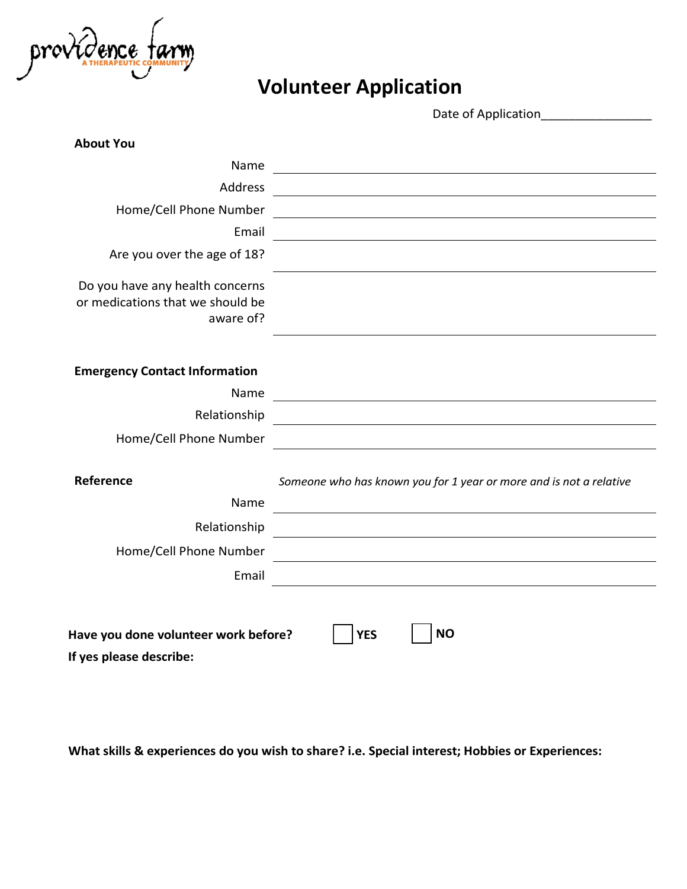

## **Volunteer Application**

Date of Application

| <b>About You</b>                                                                 |                                                                                                                       |
|----------------------------------------------------------------------------------|-----------------------------------------------------------------------------------------------------------------------|
| Name                                                                             |                                                                                                                       |
| Address                                                                          |                                                                                                                       |
| Home/Cell Phone Number                                                           | <u> 1980 - Johann Barnett, fransk politik (d. 1980)</u>                                                               |
| Email                                                                            |                                                                                                                       |
| Are you over the age of 18?                                                      |                                                                                                                       |
| Do you have any health concerns<br>or medications that we should be<br>aware of? |                                                                                                                       |
| <b>Emergency Contact Information</b>                                             |                                                                                                                       |
| Name                                                                             |                                                                                                                       |
| Relationship                                                                     | <u> 1980 - Jan Samuel Barbara, margaret eta idazlea (h. 1980).</u>                                                    |
| Home/Cell Phone Number                                                           |                                                                                                                       |
| Reference                                                                        | Someone who has known you for 1 year or more and is not a relative                                                    |
| Name                                                                             |                                                                                                                       |
| Relationship                                                                     | <u> 1989 - Johann Harry Harry Harry Harry Harry Harry Harry Harry Harry Harry Harry Harry Harry Harry Harry Harry</u> |
| Home/Cell Phone Number                                                           |                                                                                                                       |
| Email                                                                            |                                                                                                                       |
|                                                                                  |                                                                                                                       |
| Have you done volunteer work before?<br>If yes please describe:                  | <b>NO</b><br><b>YES</b>                                                                                               |

**What skills & experiences do you wish to share? i.e. Special interest; Hobbies or Experiences:**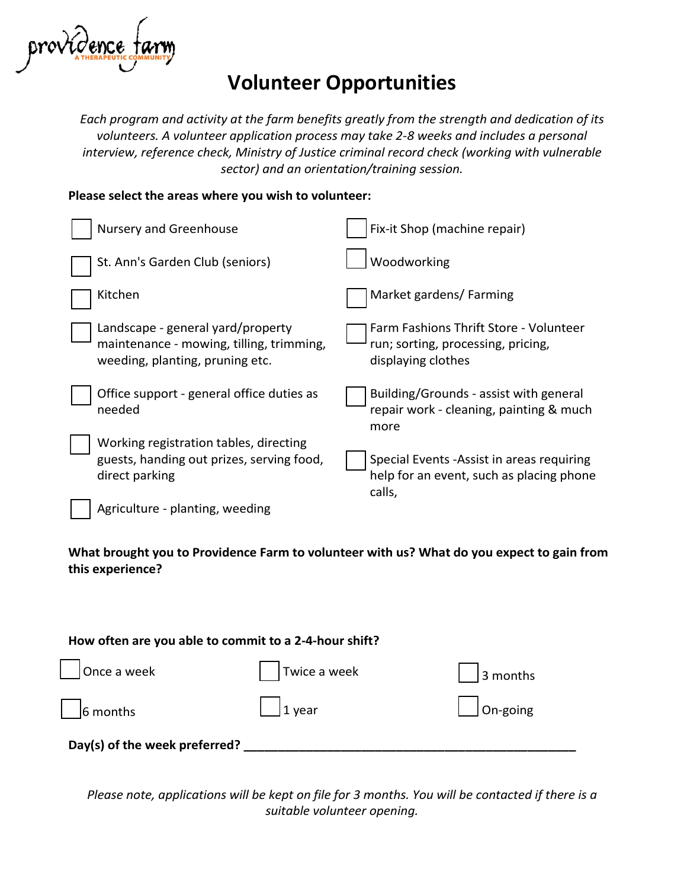

## **Volunteer Opportunities**

*Each program and activity at the farm benefits greatly from the strength and dedication of its volunteers. A volunteer application process may take 2-8 weeks and includes a personal interview, reference check, Ministry of Justice criminal record check (working with vulnerable sector) and an orientation/training session.*

#### **Please select the areas where you wish to volunteer:**

| <b>Nursery and Greenhouse</b>                                                                                    | Fix-it Shop (machine repair)                                                                       |
|------------------------------------------------------------------------------------------------------------------|----------------------------------------------------------------------------------------------------|
| St. Ann's Garden Club (seniors)                                                                                  | Woodworking                                                                                        |
| Kitchen                                                                                                          | Market gardens/ Farming                                                                            |
| Landscape - general yard/property<br>maintenance - mowing, tilling, trimming,<br>weeding, planting, pruning etc. | Farm Fashions Thrift Store - Volunteer<br>run; sorting, processing, pricing,<br>displaying clothes |
| Office support - general office duties as<br>needed                                                              | Building/Grounds - assist with general<br>repair work - cleaning, painting & much<br>more          |
| Working registration tables, directing<br>guests, handing out prizes, serving food,<br>direct parking            | Special Events - Assist in areas requiring<br>help for an event, such as placing phone<br>calls,   |
| Agriculture - planting, weeding                                                                                  |                                                                                                    |

**What brought you to Providence Farm to volunteer with us? What do you expect to gain from this experience?** 

| How often are you able to commit to a 2-4-hour shift? |                  |                    |  |
|-------------------------------------------------------|------------------|--------------------|--|
| $\vert$   Once a week                                 | Twice a week     | $\vert$ 3 months   |  |
| $\begin{array}{ c c } \hline \end{array}$ 6 months    | $\vert$   1 year | $\bigcap$ On-going |  |
| Day(s) of the week preferred?                         |                  |                    |  |

*Please note, applications will be kept on file for 3 months. You will be contacted if there is a suitable volunteer opening.*